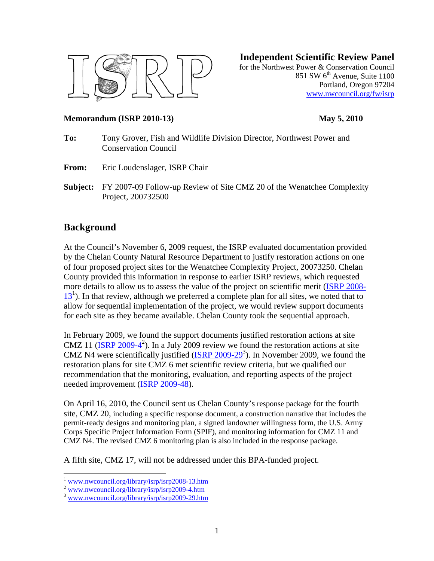

**Independent Scientific Review Panel**

for the Northwest Power & Conservation Council 851 SW  $6<sup>th</sup>$  Avenue, Suite 1100 Portland, Oregon 97204 www.nwcouncil.org/fw/isrp

#### **Memorandum (ISRP 2010-13) May 5, 2010**

- **To:** Tony Grover, Fish and Wildlife Division Director, Northwest Power and Conservation Council
- **From:** Eric Loudenslager, ISRP Chair
- **Subject:** FY 2007-09 Follow-up Review of Site CMZ 20 of the Wenatchee Complexity Project, 200732500

# **Background**

At the Council's November 6, 2009 request, the ISRP evaluated documentation provided by the Chelan County Natural Resource Department to justify restoration actions on one of four proposed project sites for the Wenatchee Complexity Project, 20073250. Chelan County provided this information in response to earlier ISRP reviews, which requested more details to allow us to assess the value of the project on scientific merit (ISRP 2008- $13<sup>1</sup>$ ). In that review, although we preferred a complete plan for all sites, we noted that to allow for sequential implementation of the project, we would review support documents for each site as they became available. Chelan County took the sequential approach.

In February 2009, we found the support documents justified restoration actions at site CMZ 11  $(\text{ISRP } 2009 - 4^2)$ . In a July 2009 review we found the restoration actions at site CMZ N4 were scientifically justified  $(ISRP 2009-29^3)$ . In November 2009, we found the restoration plans for site CMZ 6 met scientific review criteria, but we qualified our recommendation that the monitoring, evaluation, and reporting aspects of the project needed improvement (ISRP 2009-48).

On April 16, 2010, the Council sent us Chelan County's response package for the fourth site, CMZ 20, including a specific response document, a construction narrative that includes the permit-ready designs and monitoring plan, a signed landowner willingness form, the U.S. Army Corps Specific Project Information Form (SPIF), and monitoring information for CMZ 11 and CMZ N4. The revised CMZ 6 monitoring plan is also included in the response package.

A fifth site, CMZ 17, will not be addressed under this BPA-funded project.

 $\overline{a}$ 

 $\frac{1}{2}$  www.nwcouncil.org/library/isrp/isrp2008-13.htm<br> $\frac{2}{3}$  www.nwcouncil.org/library/isrp/isrp2009-4.htm<br> $\frac{3}{3}$  www.nwcouncil.org/library/isrp/isrp2009-29.htm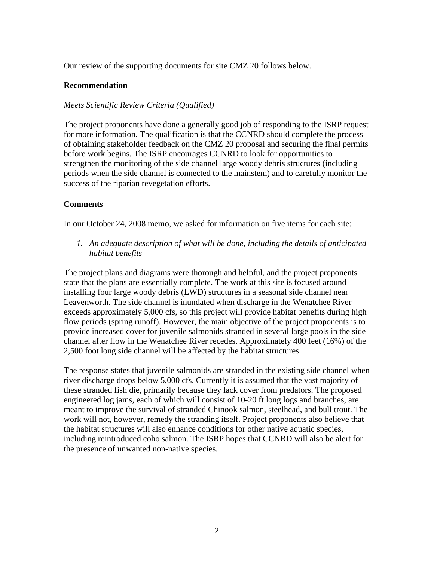Our review of the supporting documents for site CMZ 20 follows below.

#### **Recommendation**

### *Meets Scientific Review Criteria (Qualified)*

The project proponents have done a generally good job of responding to the ISRP request for more information. The qualification is that the CCNRD should complete the process of obtaining stakeholder feedback on the CMZ 20 proposal and securing the final permits before work begins. The ISRP encourages CCNRD to look for opportunities to strengthen the monitoring of the side channel large woody debris structures (including periods when the side channel is connected to the mainstem) and to carefully monitor the success of the riparian revegetation efforts.

## **Comments**

In our October 24, 2008 memo, we asked for information on five items for each site:

*1. An adequate description of what will be done, including the details of anticipated habitat benefits* 

The project plans and diagrams were thorough and helpful, and the project proponents state that the plans are essentially complete. The work at this site is focused around installing four large woody debris (LWD) structures in a seasonal side channel near Leavenworth. The side channel is inundated when discharge in the Wenatchee River exceeds approximately 5,000 cfs, so this project will provide habitat benefits during high flow periods (spring runoff). However, the main objective of the project proponents is to provide increased cover for juvenile salmonids stranded in several large pools in the side channel after flow in the Wenatchee River recedes. Approximately 400 feet (16%) of the 2,500 foot long side channel will be affected by the habitat structures.

The response states that juvenile salmonids are stranded in the existing side channel when river discharge drops below 5,000 cfs. Currently it is assumed that the vast majority of these stranded fish die, primarily because they lack cover from predators. The proposed engineered log jams, each of which will consist of 10-20 ft long logs and branches, are meant to improve the survival of stranded Chinook salmon, steelhead, and bull trout. The work will not, however, remedy the stranding itself. Project proponents also believe that the habitat structures will also enhance conditions for other native aquatic species, including reintroduced coho salmon. The ISRP hopes that CCNRD will also be alert for the presence of unwanted non-native species.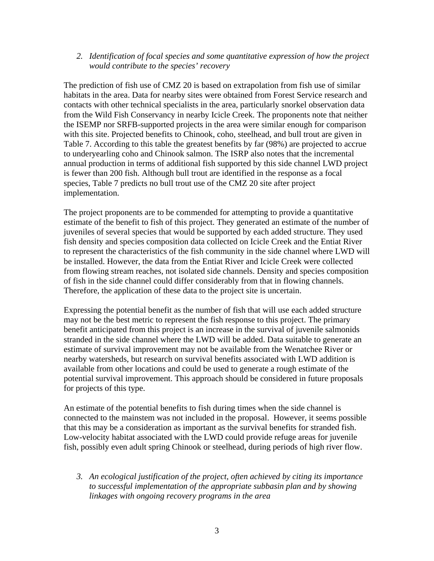*2. Identification of focal species and some quantitative expression of how the project would contribute to the species' recovery* 

The prediction of fish use of CMZ 20 is based on extrapolation from fish use of similar habitats in the area. Data for nearby sites were obtained from Forest Service research and contacts with other technical specialists in the area, particularly snorkel observation data from the Wild Fish Conservancy in nearby Icicle Creek. The proponents note that neither the ISEMP nor SRFB-supported projects in the area were similar enough for comparison with this site. Projected benefits to Chinook, coho, steelhead, and bull trout are given in Table 7. According to this table the greatest benefits by far (98%) are projected to accrue to underyearling coho and Chinook salmon. The ISRP also notes that the incremental annual production in terms of additional fish supported by this side channel LWD project is fewer than 200 fish. Although bull trout are identified in the response as a focal species, Table 7 predicts no bull trout use of the CMZ 20 site after project implementation.

The project proponents are to be commended for attempting to provide a quantitative estimate of the benefit to fish of this project. They generated an estimate of the number of juveniles of several species that would be supported by each added structure. They used fish density and species composition data collected on Icicle Creek and the Entiat River to represent the characteristics of the fish community in the side channel where LWD will be installed. However, the data from the Entiat River and Icicle Creek were collected from flowing stream reaches, not isolated side channels. Density and species composition of fish in the side channel could differ considerably from that in flowing channels. Therefore, the application of these data to the project site is uncertain.

Expressing the potential benefit as the number of fish that will use each added structure may not be the best metric to represent the fish response to this project. The primary benefit anticipated from this project is an increase in the survival of juvenile salmonids stranded in the side channel where the LWD will be added. Data suitable to generate an estimate of survival improvement may not be available from the Wenatchee River or nearby watersheds, but research on survival benefits associated with LWD addition is available from other locations and could be used to generate a rough estimate of the potential survival improvement. This approach should be considered in future proposals for projects of this type.

An estimate of the potential benefits to fish during times when the side channel is connected to the mainstem was not included in the proposal. However, it seems possible that this may be a consideration as important as the survival benefits for stranded fish. Low-velocity habitat associated with the LWD could provide refuge areas for juvenile fish, possibly even adult spring Chinook or steelhead, during periods of high river flow.

*3. An ecological justification of the project, often achieved by citing its importance to successful implementation of the appropriate subbasin plan and by showing linkages with ongoing recovery programs in the area*